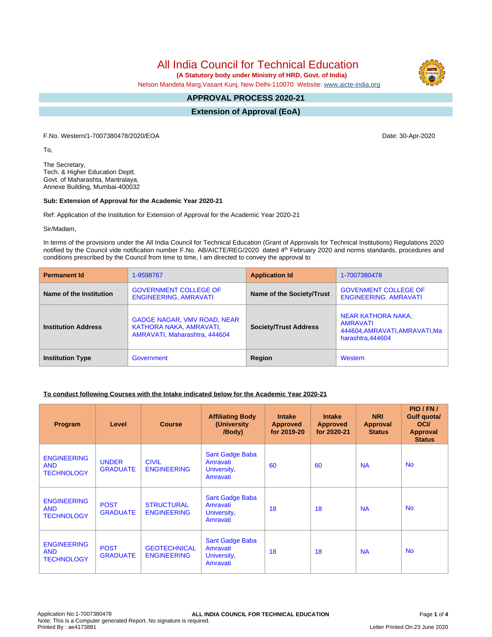All India Council for Technical Education

 **(A Statutory body under Ministry of HRD, Govt. of India)**

Nelson Mandela Marg,Vasant Kunj, New Delhi-110070 Website: [www.aicte-india.org](http://www.aicte-india.org)

#### **APPROVAL PROCESS 2020-21 -**

**Extension of Approval (EoA)**

F.No. Western/1-7007380478/2020/EOA Date: 30-Apr-2020

To,

The Secretary, Tech. & Higher Education Deptt. Govt. of Maharashta, Mantralaya, Annexe Building, Mumbai-400032

### **Sub: Extension of Approval for the Academic Year 2020-21**

Ref: Application of the Institution for Extension of Approval for the Academic Year 2020-21

Sir/Madam,

In terms of the provisions under the All India Council for Technical Education (Grant of Approvals for Technical Institutions) Regulations 2020 notified by the Council vide notification number F.No. AB/AICTE/REG/2020 dated 4<sup>th</sup> February 2020 and norms standards, procedures and conditions prescribed by the Council from time to time, I am directed to convey the approval to

| <b>Permanent Id</b>        | 1-9598767                                                                                      | <b>Application Id</b>        | 1-7007380478                                                                         |
|----------------------------|------------------------------------------------------------------------------------------------|------------------------------|--------------------------------------------------------------------------------------|
| Name of the Institution    | <b>GOVERNMENT COLLEGE OF</b><br><b>ENGINEERING, AMRAVATI</b>                                   | Name of the Society/Trust    | <b>GOVENMENT COLLEGE OF</b><br><b>ENGINEERING, AMRAVATI</b>                          |
| <b>Institution Address</b> | <b>GADGE NAGAR, VMV ROAD, NEAR</b><br>KATHORA NAKA, AMRAVATI,<br>AMRAVATI, Maharashtra, 444604 | <b>Society/Trust Address</b> | NEAR KATHORA NAKA,<br>AMRAVATI<br>444604, AMRAVATI, AMRAVATI, Ma<br>harashtra.444604 |
| <b>Institution Type</b>    | Government                                                                                     | Region                       | Western                                                                              |

# **To conduct following Courses with the Intake indicated below for the Academic Year 2020-21**

| Program                                               | Level                           | <b>Course</b>                             | <b>Affiliating Body</b><br>(University<br>/Body)       | <b>Intake</b><br><b>Approved</b><br>for 2019-20 | <b>Intake</b><br><b>Approved</b><br>for 2020-21 | <b>NRI</b><br>Approval<br><b>Status</b> | PIO/FN/<br>Gulf quota/<br><b>OCI</b><br><b>Approval</b><br><b>Status</b> |
|-------------------------------------------------------|---------------------------------|-------------------------------------------|--------------------------------------------------------|-------------------------------------------------|-------------------------------------------------|-----------------------------------------|--------------------------------------------------------------------------|
| <b>ENGINEERING</b><br><b>AND</b><br><b>TECHNOLOGY</b> | <b>UNDER</b><br><b>GRADUATE</b> | <b>CIVIL</b><br><b>ENGINEERING</b>        | Sant Gadge Baba<br>Amravati<br>University,<br>Amravati | 60                                              | 60                                              | <b>NA</b>                               | <b>No</b>                                                                |
| <b>ENGINEERING</b><br><b>AND</b><br><b>TECHNOLOGY</b> | <b>POST</b><br><b>GRADUATE</b>  | <b>STRUCTURAL</b><br><b>ENGINEERING</b>   | Sant Gadge Baba<br>Amravati<br>University,<br>Amravati | 18                                              | 18                                              | <b>NA</b>                               | <b>No</b>                                                                |
| <b>ENGINEERING</b><br><b>AND</b><br><b>TECHNOLOGY</b> | <b>POST</b><br><b>GRADUATE</b>  | <b>GEOTECHNICAL</b><br><b>ENGINEERING</b> | Sant Gadge Baba<br>Amravati<br>University,<br>Amravati | 18                                              | 18                                              | <b>NA</b>                               | <b>No</b>                                                                |

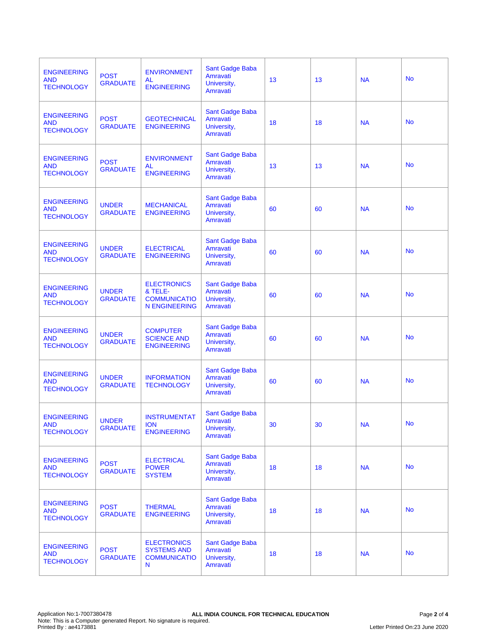| <b>ENGINEERING</b><br><b>AND</b><br><b>TECHNOLOGY</b> | <b>POST</b><br><b>GRADUATE</b>  | <b>ENVIRONMENT</b><br>AL<br><b>ENGINEERING</b>                               | Sant Gadge Baba<br>Amravati<br>University,<br>Amravati        | 13 | 13 | <b>NA</b> | <b>No</b> |
|-------------------------------------------------------|---------------------------------|------------------------------------------------------------------------------|---------------------------------------------------------------|----|----|-----------|-----------|
| <b>ENGINEERING</b><br><b>AND</b><br><b>TECHNOLOGY</b> | <b>POST</b><br><b>GRADUATE</b>  | <b>GEOTECHNICAL</b><br><b>ENGINEERING</b>                                    | Sant Gadge Baba<br>Amravati<br>University,<br>Amravati        | 18 | 18 | <b>NA</b> | <b>No</b> |
| <b>ENGINEERING</b><br><b>AND</b><br><b>TECHNOLOGY</b> | <b>POST</b><br><b>GRADUATE</b>  | <b>ENVIRONMENT</b><br><b>AL</b><br><b>ENGINEERING</b>                        | Sant Gadge Baba<br>Amravati<br>University,<br>Amravati        | 13 | 13 | <b>NA</b> | <b>No</b> |
| <b>ENGINEERING</b><br><b>AND</b><br><b>TECHNOLOGY</b> | <b>UNDER</b><br><b>GRADUATE</b> | <b>MECHANICAL</b><br><b>ENGINEERING</b>                                      | Sant Gadge Baba<br>Amravati<br>University,<br>Amravati        | 60 | 60 | <b>NA</b> | <b>No</b> |
| <b>ENGINEERING</b><br><b>AND</b><br><b>TECHNOLOGY</b> | <b>UNDER</b><br><b>GRADUATE</b> | <b>ELECTRICAL</b><br><b>ENGINEERING</b>                                      | Sant Gadge Baba<br>Amravati<br>University,<br>Amravati        | 60 | 60 | <b>NA</b> | <b>No</b> |
| <b>ENGINEERING</b><br><b>AND</b><br><b>TECHNOLOGY</b> | <b>UNDER</b><br><b>GRADUATE</b> | <b>ELECTRONICS</b><br>& TELE-<br><b>COMMUNICATIO</b><br><b>N ENGINEERING</b> | Sant Gadge Baba<br>Amravati<br>University,<br>Amravati        | 60 | 60 | <b>NA</b> | <b>No</b> |
| <b>ENGINEERING</b><br><b>AND</b><br><b>TECHNOLOGY</b> | <b>UNDER</b><br><b>GRADUATE</b> | <b>COMPUTER</b><br><b>SCIENCE AND</b><br><b>ENGINEERING</b>                  | Sant Gadge Baba<br>Amravati<br>University,<br>Amravati        | 60 | 60 | <b>NA</b> | <b>No</b> |
| <b>ENGINEERING</b><br><b>AND</b><br><b>TECHNOLOGY</b> | <b>UNDER</b><br><b>GRADUATE</b> | <b>INFORMATION</b><br><b>TECHNOLOGY</b>                                      | Sant Gadge Baba<br>Amravati<br>University,<br>Amravati        | 60 | 60 | <b>NA</b> | <b>No</b> |
| <b>ENGINEERING</b><br><b>AND</b><br><b>TECHNOLOGY</b> | <b>UNDER</b><br><b>GRADUATE</b> | <b>INSTRUMENTAT</b><br><b>ION</b><br><b>ENGINEERING</b>                      | Sant Gadge Baba<br>Amravati<br>University,<br>Amravati        | 30 | 30 | <b>NA</b> | <b>No</b> |
| <b>ENGINEERING</b><br><b>AND</b><br><b>TECHNOLOGY</b> | <b>POST</b><br><b>GRADUATE</b>  | <b>ELECTRICAL</b><br><b>POWER</b><br><b>SYSTEM</b>                           | <b>Sant Gadge Baba</b><br>Amravati<br>University,<br>Amravati | 18 | 18 | <b>NA</b> | <b>No</b> |
| <b>ENGINEERING</b><br><b>AND</b><br><b>TECHNOLOGY</b> | <b>POST</b><br><b>GRADUATE</b>  | <b>THERMAL</b><br><b>ENGINEERING</b>                                         | Sant Gadge Baba<br>Amravati<br>University,<br>Amravati        | 18 | 18 | <b>NA</b> | <b>No</b> |
| <b>ENGINEERING</b><br><b>AND</b><br><b>TECHNOLOGY</b> | <b>POST</b><br><b>GRADUATE</b>  | <b>ELECTRONICS</b><br><b>SYSTEMS AND</b><br><b>COMMUNICATIO</b><br>N         | <b>Sant Gadge Baba</b><br>Amravati<br>University,<br>Amravati | 18 | 18 | <b>NA</b> | <b>No</b> |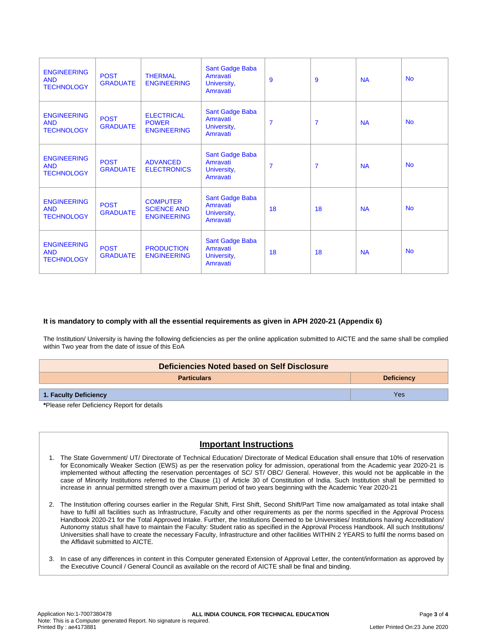| <b>ENGINEERING</b><br><b>AND</b><br><b>TECHNOLOGY</b> | <b>POST</b><br><b>GRADUATE</b> | <b>THERMAL</b><br><b>ENGINEERING</b>                        | Sant Gadge Baba<br>Amravati<br>University,<br>Amravati | 9              | 9              | <b>NA</b> | <b>No</b> |
|-------------------------------------------------------|--------------------------------|-------------------------------------------------------------|--------------------------------------------------------|----------------|----------------|-----------|-----------|
| <b>ENGINEERING</b><br><b>AND</b><br><b>TECHNOLOGY</b> | <b>POST</b><br><b>GRADUATE</b> | <b>ELECTRICAL</b><br><b>POWER</b><br><b>ENGINEERING</b>     | Sant Gadge Baba<br>Amravati<br>University,<br>Amravati | $\overline{7}$ | $\overline{7}$ | <b>NA</b> | <b>No</b> |
| <b>ENGINEERING</b><br><b>AND</b><br><b>TECHNOLOGY</b> | <b>POST</b><br><b>GRADUATE</b> | <b>ADVANCED</b><br><b>ELECTRONICS</b>                       | Sant Gadge Baba<br>Amravati<br>University,<br>Amravati | $\overline{7}$ | $\overline{7}$ | <b>NA</b> | <b>No</b> |
| <b>ENGINEERING</b><br><b>AND</b><br><b>TECHNOLOGY</b> | <b>POST</b><br><b>GRADUATE</b> | <b>COMPUTER</b><br><b>SCIENCE AND</b><br><b>ENGINEERING</b> | Sant Gadge Baba<br>Amravati<br>University,<br>Amravati | 18             | 18             | <b>NA</b> | <b>No</b> |
| <b>ENGINEERING</b><br><b>AND</b><br><b>TECHNOLOGY</b> | <b>POST</b><br><b>GRADUATE</b> | <b>PRODUCTION</b><br><b>ENGINEERING</b>                     | Sant Gadge Baba<br>Amravati<br>University,<br>Amravati | 18             | 18             | <b>NA</b> | <b>No</b> |

# **It is mandatory to comply with all the essential requirements as given in APH 2020-21 (Appendix 6)**

The Institution/ University is having the following deficiencies as per the online application submitted to AICTE and the same shall be complied within Two year from the date of issue of this EoA

| Deficiencies Noted based on Self Disclosure |                   |  |  |  |  |
|---------------------------------------------|-------------------|--|--|--|--|
| <b>Particulars</b>                          | <b>Deficiency</b> |  |  |  |  |
| 1. Faculty Deficiency                       | Yes               |  |  |  |  |

**\***Please refer Deficiency Report for details

# **Important Instructions**

- 1. The State Government/ UT/ Directorate of Technical Education/ Directorate of Medical Education shall ensure that 10% of reservation for Economically Weaker Section (EWS) as per the reservation policy for admission, operational from the Academic year 2020-21 is implemented without affecting the reservation percentages of SC/ ST/ OBC/ General. However, this would not be applicable in the case of Minority Institutions referred to the Clause (1) of Article 30 of Constitution of India. Such Institution shall be permitted to increase in annual permitted strength over a maximum period of two years beginning with the Academic Year 2020-21
- 2. The Institution offering courses earlier in the Regular Shift, First Shift, Second Shift/Part Time now amalgamated as total intake shall have to fulfil all facilities such as Infrastructure, Faculty and other requirements as per the norms specified in the Approval Process Handbook 2020-21 for the Total Approved Intake. Further, the Institutions Deemed to be Universities/ Institutions having Accreditation/ Autonomy status shall have to maintain the Faculty: Student ratio as specified in the Approval Process Handbook. All such Institutions/ Universities shall have to create the necessary Faculty, Infrastructure and other facilities WITHIN 2 YEARS to fulfil the norms based on the Affidavit submitted to AICTE.
- 3. In case of any differences in content in this Computer generated Extension of Approval Letter, the content/information as approved by the Executive Council / General Council as available on the record of AICTE shall be final and binding.